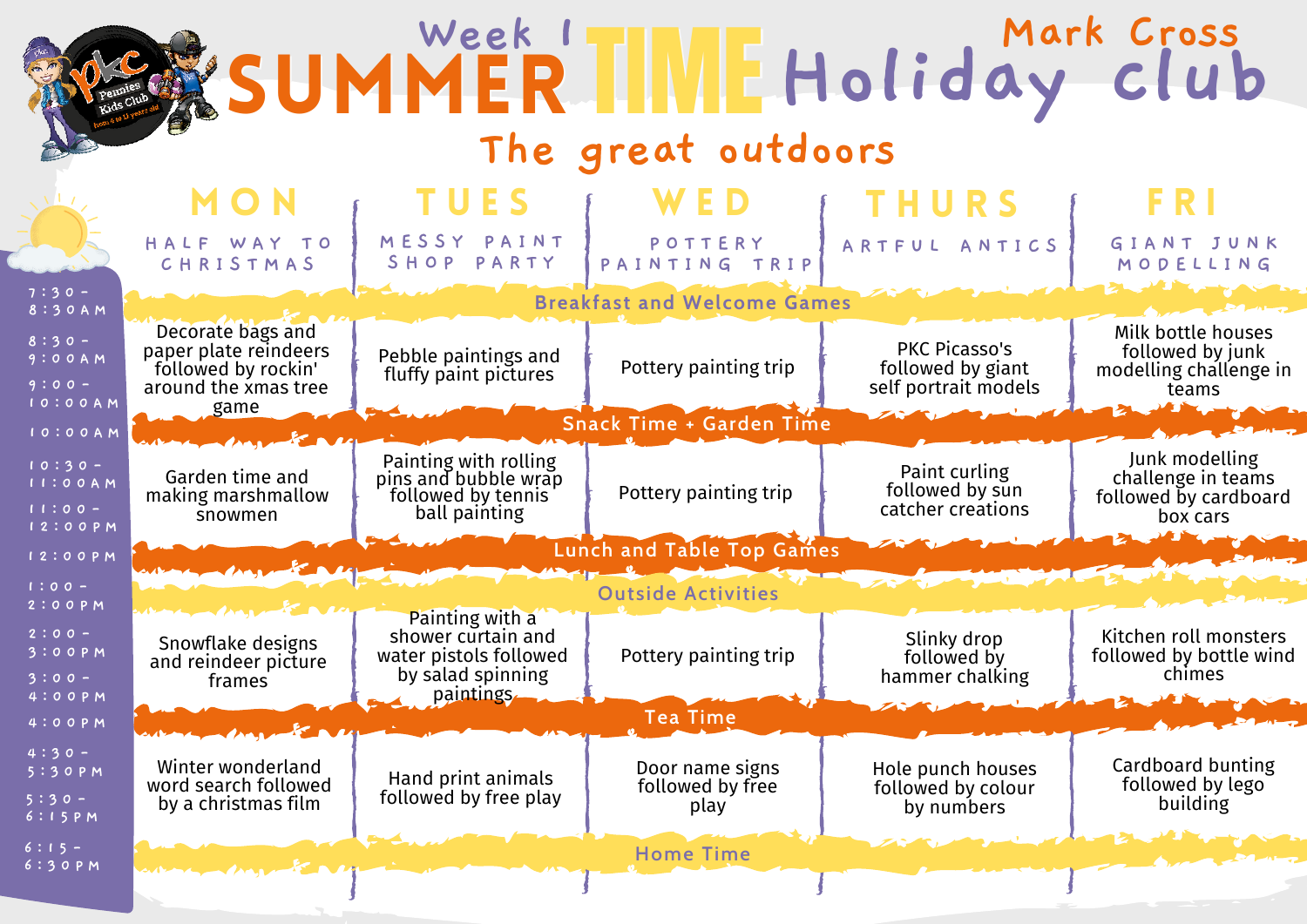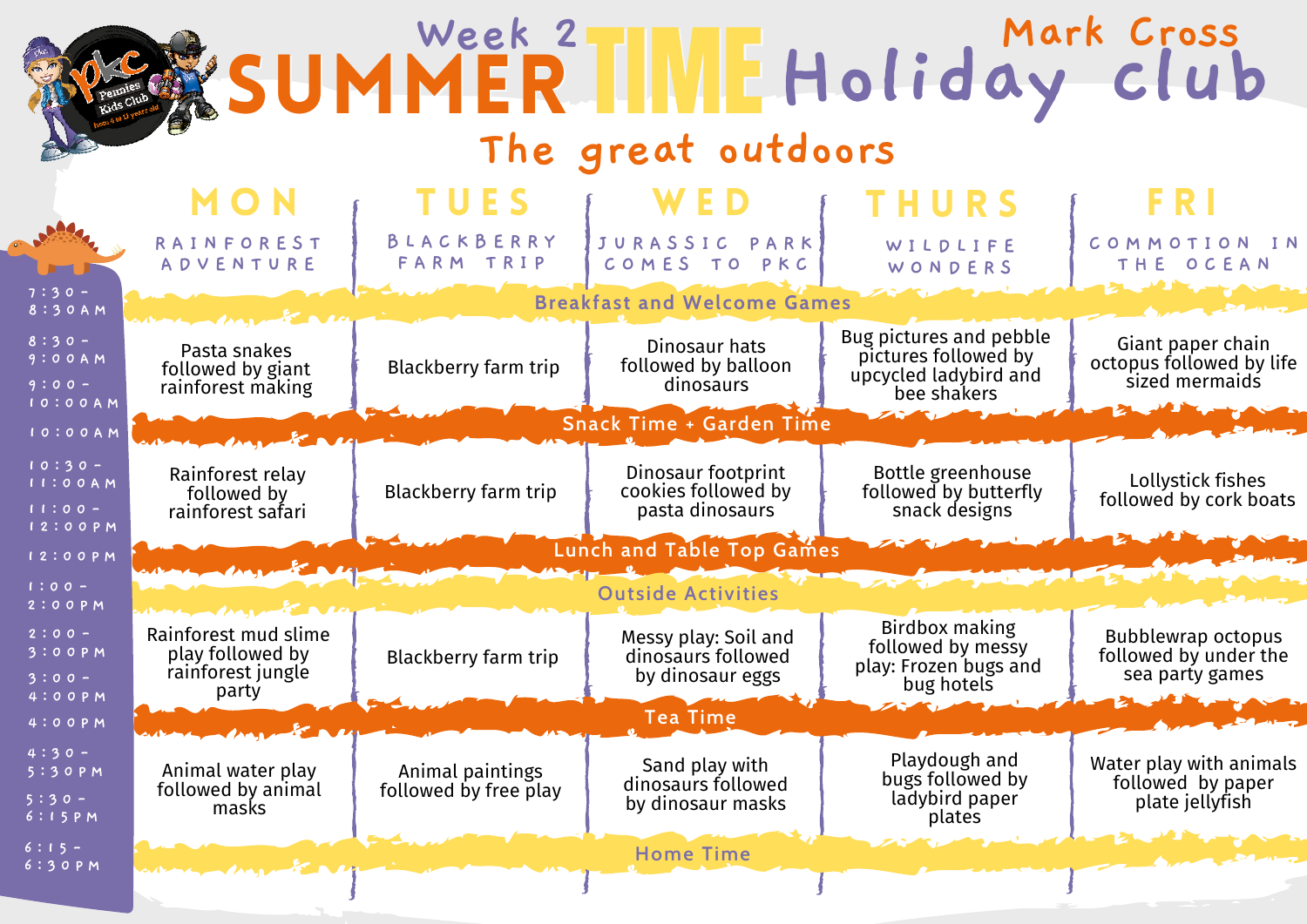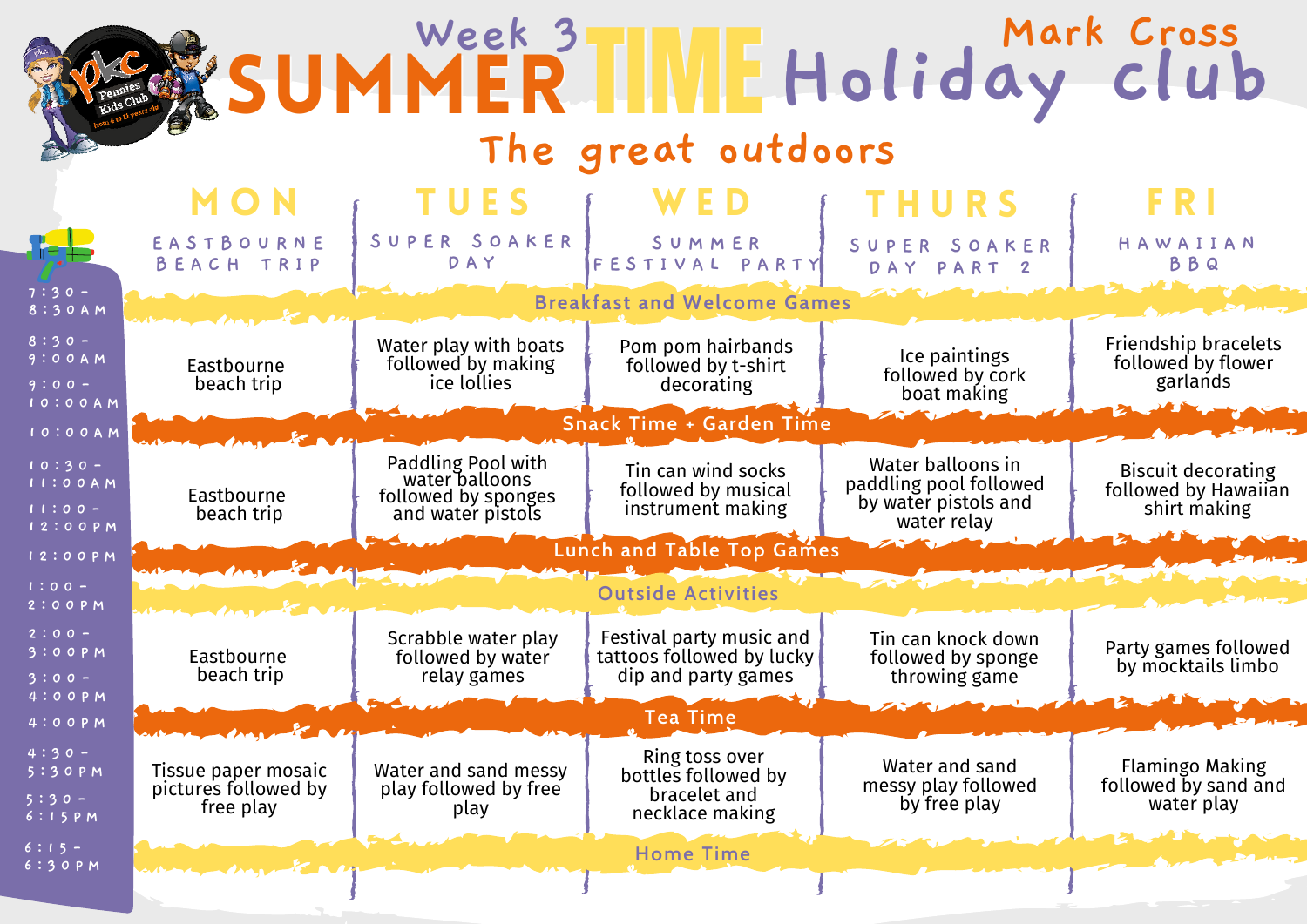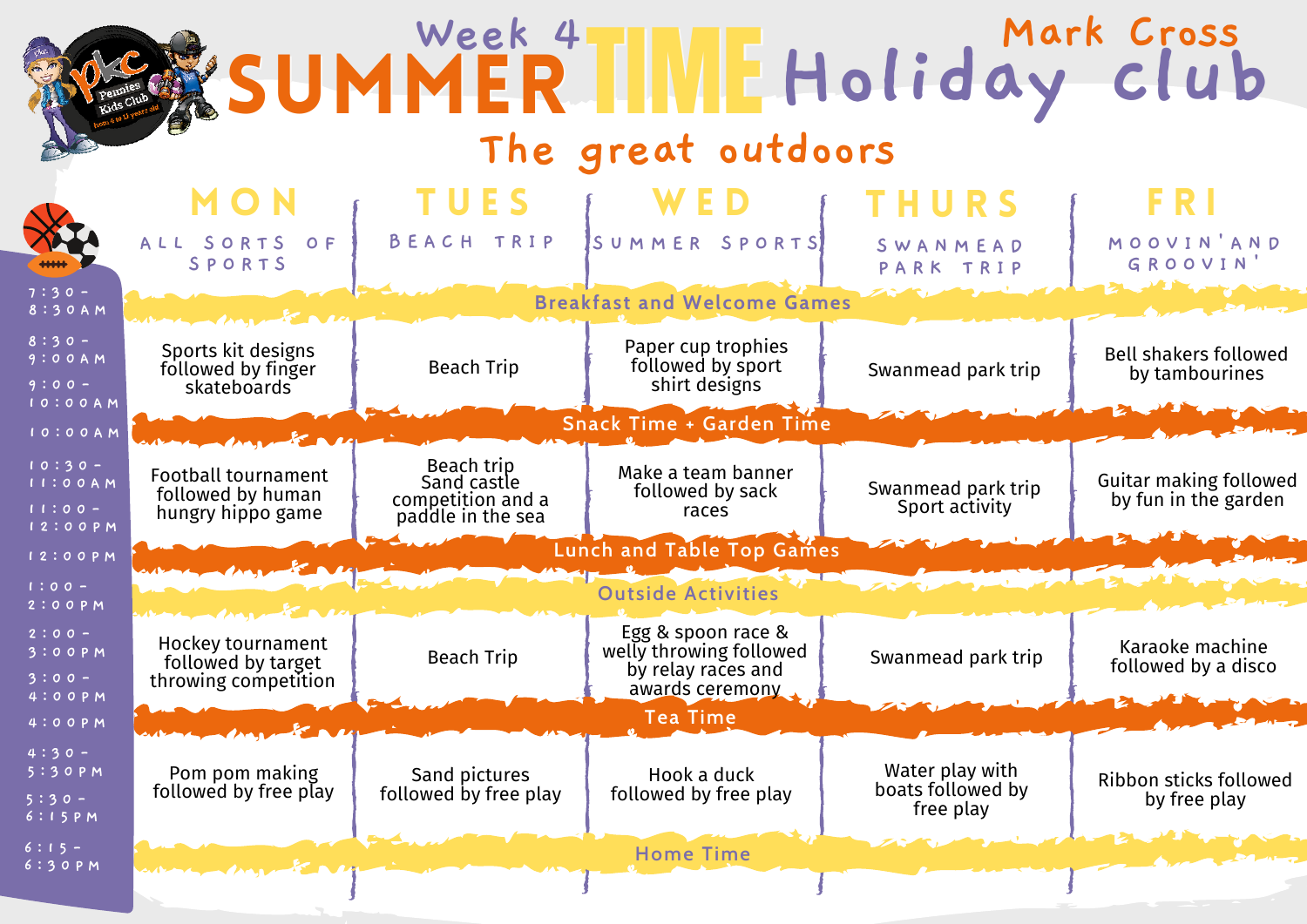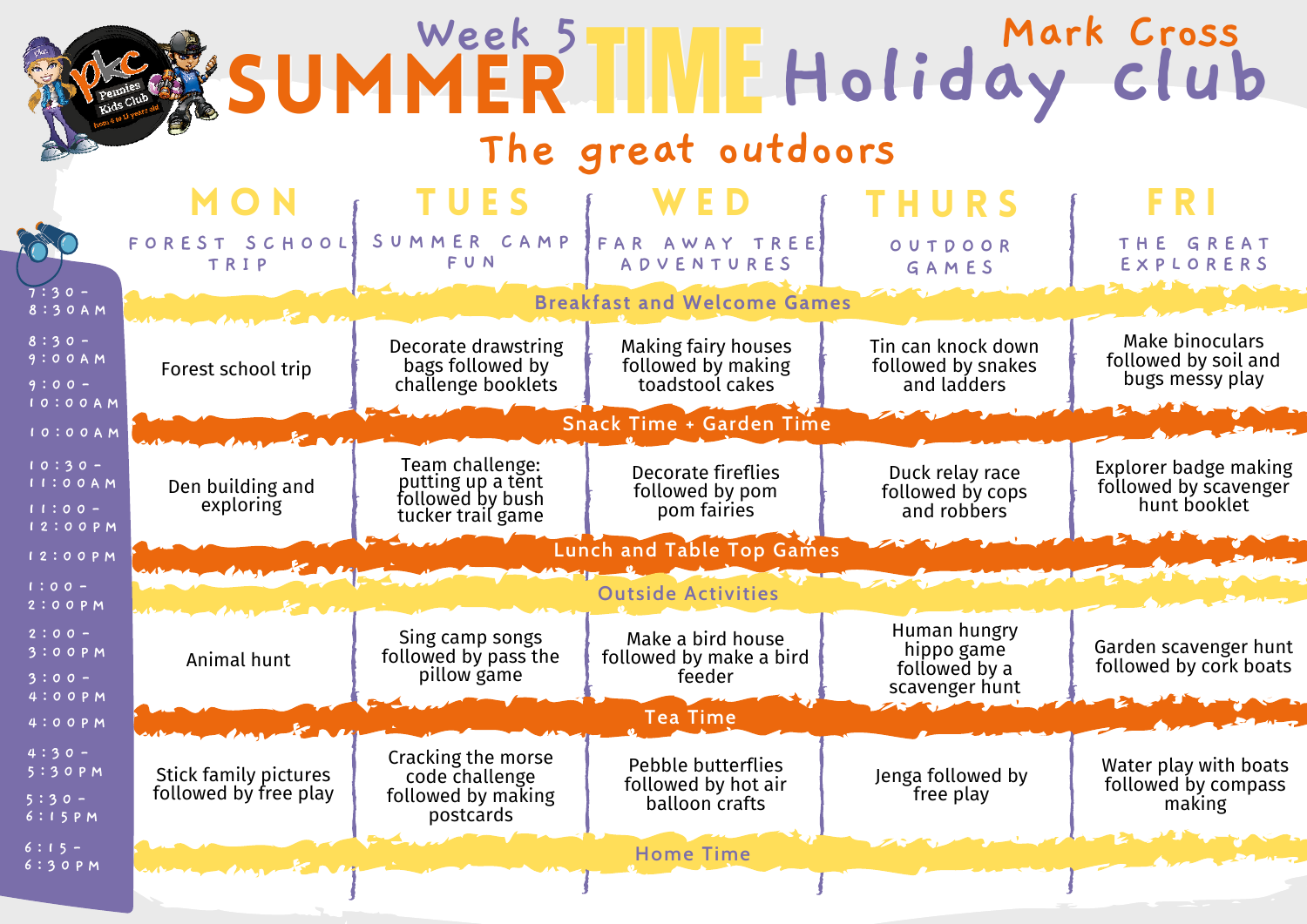